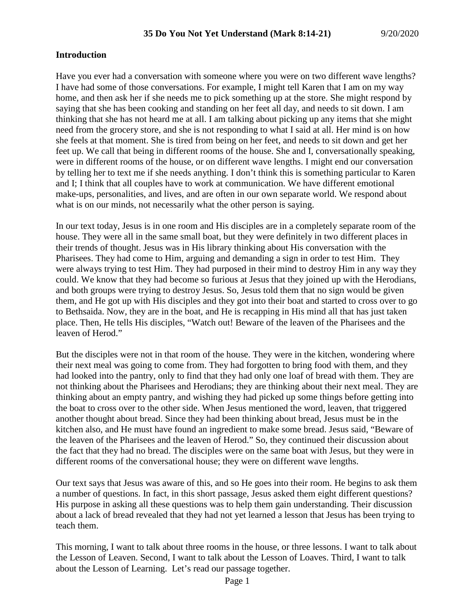#### **Introduction**

Have you ever had a conversation with someone where you were on two different wave lengths? I have had some of those conversations. For example, I might tell Karen that I am on my way home, and then ask her if she needs me to pick something up at the store. She might respond by saying that she has been cooking and standing on her feet all day, and needs to sit down. I am thinking that she has not heard me at all. I am talking about picking up any items that she might need from the grocery store, and she is not responding to what I said at all. Her mind is on how she feels at that moment. She is tired from being on her feet, and needs to sit down and get her feet up. We call that being in different rooms of the house. She and I, conversationally speaking, were in different rooms of the house, or on different wave lengths. I might end our conversation by telling her to text me if she needs anything. I don't think this is something particular to Karen and I; I think that all couples have to work at communication. We have different emotional make-ups, personalities, and lives, and are often in our own separate world. We respond about what is on our minds, not necessarily what the other person is saying.

In our text today, Jesus is in one room and His disciples are in a completely separate room of the house. They were all in the same small boat, but they were definitely in two different places in their trends of thought. Jesus was in His library thinking about His conversation with the Pharisees. They had come to Him, arguing and demanding a sign in order to test Him. They were always trying to test Him. They had purposed in their mind to destroy Him in any way they could. We know that they had become so furious at Jesus that they joined up with the Herodians, and both groups were trying to destroy Jesus. So, Jesus told them that no sign would be given them, and He got up with His disciples and they got into their boat and started to cross over to go to Bethsaida. Now, they are in the boat, and He is recapping in His mind all that has just taken place. Then, He tells His disciples, "Watch out! Beware of the leaven of the Pharisees and the leaven of Herod."

But the disciples were not in that room of the house. They were in the kitchen, wondering where their next meal was going to come from. They had forgotten to bring food with them, and they had looked into the pantry, only to find that they had only one loaf of bread with them. They are not thinking about the Pharisees and Herodians; they are thinking about their next meal. They are thinking about an empty pantry, and wishing they had picked up some things before getting into the boat to cross over to the other side. When Jesus mentioned the word, leaven, that triggered another thought about bread. Since they had been thinking about bread, Jesus must be in the kitchen also, and He must have found an ingredient to make some bread. Jesus said, "Beware of the leaven of the Pharisees and the leaven of Herod." So, they continued their discussion about the fact that they had no bread. The disciples were on the same boat with Jesus, but they were in different rooms of the conversational house; they were on different wave lengths.

Our text says that Jesus was aware of this, and so He goes into their room. He begins to ask them a number of questions. In fact, in this short passage, Jesus asked them eight different questions? His purpose in asking all these questions was to help them gain understanding. Their discussion about a lack of bread revealed that they had not yet learned a lesson that Jesus has been trying to teach them.

This morning, I want to talk about three rooms in the house, or three lessons. I want to talk about the Lesson of Leaven. Second, I want to talk about the Lesson of Loaves. Third, I want to talk about the Lesson of Learning. Let's read our passage together.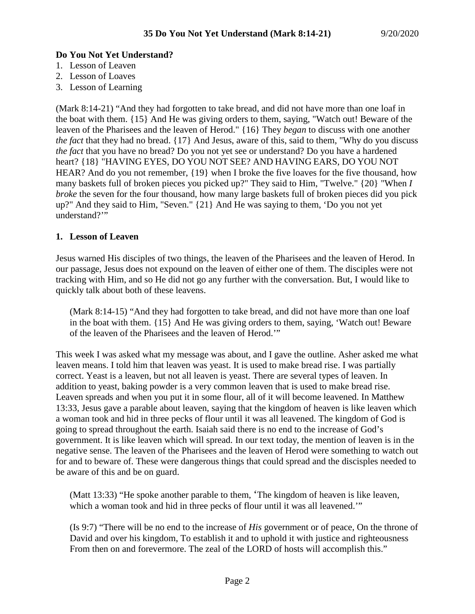# **Do You Not Yet Understand?**

- 1. Lesson of Leaven
- 2. Lesson of Loaves
- 3. Lesson of Learning

(Mark 8:14-21) "And they had forgotten to take bread, and did not have more than one loaf in the boat with them. {15} And He was giving orders to them, saying, "Watch out! Beware of the leaven of the Pharisees and the leaven of Herod." {16} They *began* to discuss with one another *the fact* that they had no bread. {17} And Jesus, aware of this, said to them, "Why do you discuss *the fact* that you have no bread? Do you not yet see or understand? Do you have a hardened heart? {18} "HAVING EYES, DO YOU NOT SEE? AND HAVING EARS, DO YOU NOT HEAR? And do you not remember,  $\{19\}$  when I broke the five loaves for the five thousand, how many baskets full of broken pieces you picked up?" They said to Him, "Twelve." {20} "When *I broke* the seven for the four thousand, how many large baskets full of broken pieces did you pick up?" And they said to Him, "Seven." {21} And He was saying to them, 'Do you not yet understand?"

## **1. Lesson of Leaven**

Jesus warned His disciples of two things, the leaven of the Pharisees and the leaven of Herod. In our passage, Jesus does not expound on the leaven of either one of them. The disciples were not tracking with Him, and so He did not go any further with the conversation. But, I would like to quickly talk about both of these leavens.

(Mark 8:14-15) "And they had forgotten to take bread, and did not have more than one loaf in the boat with them. {15} And He was giving orders to them, saying, 'Watch out! Beware of the leaven of the Pharisees and the leaven of Herod.'"

This week I was asked what my message was about, and I gave the outline. Asher asked me what leaven means. I told him that leaven was yeast. It is used to make bread rise. I was partially correct. Yeast is a leaven, but not all leaven is yeast. There are several types of leaven. In addition to yeast, baking powder is a very common leaven that is used to make bread rise. Leaven spreads and when you put it in some flour, all of it will become leavened. In Matthew 13:33, Jesus gave a parable about leaven, saying that the kingdom of heaven is like leaven which a woman took and hid in three pecks of flour until it was all leavened. The kingdom of God is going to spread throughout the earth. Isaiah said there is no end to the increase of God's government. It is like leaven which will spread. In our text today, the mention of leaven is in the negative sense. The leaven of the Pharisees and the leaven of Herod were something to watch out for and to beware of. These were dangerous things that could spread and the discisples needed to be aware of this and be on guard.

(Matt 13:33) "He spoke another parable to them, 'The kingdom of heaven is like leaven, which a woman took and hid in three pecks of flour until it was all leavened.'"

(Is 9:7) "There will be no end to the increase of *His* government or of peace, On the throne of David and over his kingdom, To establish it and to uphold it with justice and righteousness From then on and forevermore. The zeal of the LORD of hosts will accomplish this."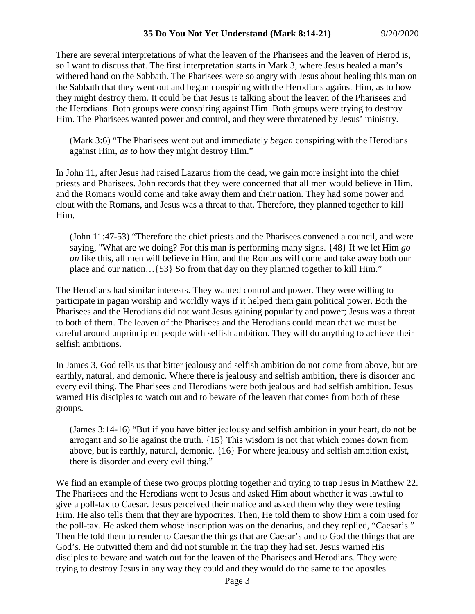There are several interpretations of what the leaven of the Pharisees and the leaven of Herod is, so I want to discuss that. The first interpretation starts in Mark 3, where Jesus healed a man's withered hand on the Sabbath. The Pharisees were so angry with Jesus about healing this man on the Sabbath that they went out and began conspiring with the Herodians against Him, as to how they might destroy them. It could be that Jesus is talking about the leaven of the Pharisees and the Herodians. Both groups were conspiring against Him. Both groups were trying to destroy Him. The Pharisees wanted power and control, and they were threatened by Jesus' ministry.

(Mark 3:6) "The Pharisees went out and immediately *began* conspiring with the Herodians against Him, *as to* how they might destroy Him."

In John 11, after Jesus had raised Lazarus from the dead, we gain more insight into the chief priests and Pharisees. John records that they were concerned that all men would believe in Him, and the Romans would come and take away them and their nation. They had some power and clout with the Romans, and Jesus was a threat to that. Therefore, they planned together to kill Him.

(John 11:47-53) "Therefore the chief priests and the Pharisees convened a council, and were saying, "What are we doing? For this man is performing many signs. {48} If we let Him *go on* like this, all men will believe in Him, and the Romans will come and take away both our place and our nation…{53} So from that day on they planned together to kill Him."

The Herodians had similar interests. They wanted control and power. They were willing to participate in pagan worship and worldly ways if it helped them gain political power. Both the Pharisees and the Herodians did not want Jesus gaining popularity and power; Jesus was a threat to both of them. The leaven of the Pharisees and the Herodians could mean that we must be careful around unprincipled people with selfish ambition. They will do anything to achieve their selfish ambitions.

In James 3, God tells us that bitter jealousy and selfish ambition do not come from above, but are earthly, natural, and demonic. Where there is jealousy and selfish ambition, there is disorder and every evil thing. The Pharisees and Herodians were both jealous and had selfish ambition. Jesus warned His disciples to watch out and to beware of the leaven that comes from both of these groups.

(James 3:14-16) "But if you have bitter jealousy and selfish ambition in your heart, do not be arrogant and *so* lie against the truth. {15} This wisdom is not that which comes down from above, but is earthly, natural, demonic. {16} For where jealousy and selfish ambition exist, there is disorder and every evil thing."

We find an example of these two groups plotting together and trying to trap Jesus in Matthew 22. The Pharisees and the Herodians went to Jesus and asked Him about whether it was lawful to give a poll-tax to Caesar. Jesus perceived their malice and asked them why they were testing Him. He also tells them that they are hypocrites. Then, He told them to show Him a coin used for the poll-tax. He asked them whose inscription was on the denarius, and they replied, "Caesar's." Then He told them to render to Caesar the things that are Caesar's and to God the things that are God's. He outwitted them and did not stumble in the trap they had set. Jesus warned His disciples to beware and watch out for the leaven of the Pharisees and Herodians. They were trying to destroy Jesus in any way they could and they would do the same to the apostles.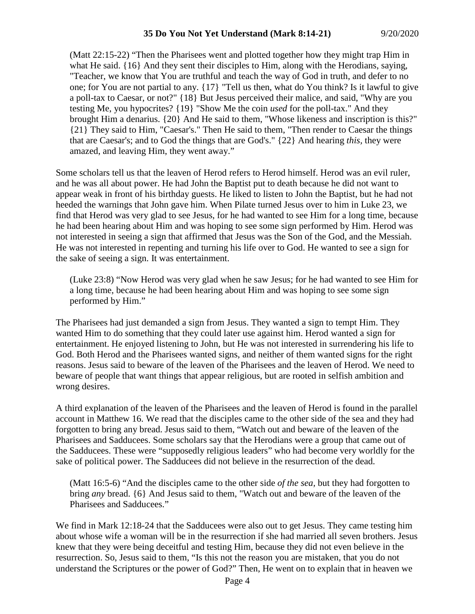(Matt 22:15-22) "Then the Pharisees went and plotted together how they might trap Him in what He said. {16} And they sent their disciples to Him, along with the Herodians, saying, "Teacher, we know that You are truthful and teach the way of God in truth, and defer to no one; for You are not partial to any. {17} "Tell us then, what do You think? Is it lawful to give a poll-tax to Caesar, or not?" {18} But Jesus perceived their malice, and said, "Why are you testing Me, you hypocrites? {19} "Show Me the coin *used* for the poll-tax." And they brought Him a denarius. {20} And He said to them, "Whose likeness and inscription is this?" {21} They said to Him, "Caesar's." Then He said to them, "Then render to Caesar the things that are Caesar's; and to God the things that are God's." {22} And hearing *this,* they were amazed, and leaving Him, they went away."

Some scholars tell us that the leaven of Herod refers to Herod himself. Herod was an evil ruler, and he was all about power. He had John the Baptist put to death because he did not want to appear weak in front of his birthday guests. He liked to listen to John the Baptist, but he had not heeded the warnings that John gave him. When Pilate turned Jesus over to him in Luke 23, we find that Herod was very glad to see Jesus, for he had wanted to see Him for a long time, because he had been hearing about Him and was hoping to see some sign performed by Him. Herod was not interested in seeing a sign that affirmed that Jesus was the Son of the God, and the Messiah. He was not interested in repenting and turning his life over to God. He wanted to see a sign for the sake of seeing a sign. It was entertainment.

(Luke 23:8) "Now Herod was very glad when he saw Jesus; for he had wanted to see Him for a long time, because he had been hearing about Him and was hoping to see some sign performed by Him."

The Pharisees had just demanded a sign from Jesus. They wanted a sign to tempt Him. They wanted Him to do something that they could later use against him. Herod wanted a sign for entertainment. He enjoyed listening to John, but He was not interested in surrendering his life to God. Both Herod and the Pharisees wanted signs, and neither of them wanted signs for the right reasons. Jesus said to beware of the leaven of the Pharisees and the leaven of Herod. We need to beware of people that want things that appear religious, but are rooted in selfish ambition and wrong desires.

A third explanation of the leaven of the Pharisees and the leaven of Herod is found in the parallel account in Matthew 16. We read that the disciples came to the other side of the sea and they had forgotten to bring any bread. Jesus said to them, "Watch out and beware of the leaven of the Pharisees and Sadducees. Some scholars say that the Herodians were a group that came out of the Sadducees. These were "supposedly religious leaders" who had become very worldly for the sake of political power. The Sadducees did not believe in the resurrection of the dead.

(Matt 16:5-6) "And the disciples came to the other side *of the sea,* but they had forgotten to bring *any* bread. {6} And Jesus said to them, "Watch out and beware of the leaven of the Pharisees and Sadducees."

We find in Mark 12:18-24 that the Sadducees were also out to get Jesus. They came testing him about whose wife a woman will be in the resurrection if she had married all seven brothers. Jesus knew that they were being deceitful and testing Him, because they did not even believe in the resurrection. So, Jesus said to them, "Is this not the reason you are mistaken, that you do not understand the Scriptures or the power of God?" Then, He went on to explain that in heaven we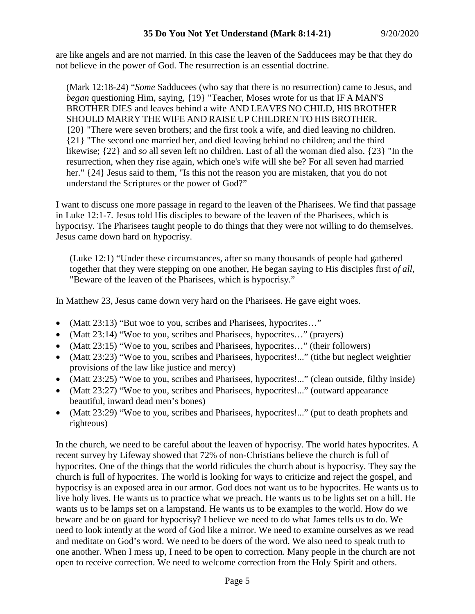are like angels and are not married. In this case the leaven of the Sadducees may be that they do not believe in the power of God. The resurrection is an essential doctrine.

(Mark 12:18-24) "*Some* Sadducees (who say that there is no resurrection) came to Jesus, and *began* questioning Him, saying, {19} "Teacher, Moses wrote for us that IF A MAN'S BROTHER DIES and leaves behind a wife AND LEAVES NO CHILD, HIS BROTHER SHOULD MARRY THE WIFE AND RAISE UP CHILDREN TO HIS BROTHER. {20} "There were seven brothers; and the first took a wife, and died leaving no children. {21} "The second one married her, and died leaving behind no children; and the third likewise; {22} and *so* all seven left no children. Last of all the woman died also. {23} "In the resurrection, when they rise again, which one's wife will she be? For all seven had married her." {24} Jesus said to them, "Is this not the reason you are mistaken, that you do not understand the Scriptures or the power of God?"

I want to discuss one more passage in regard to the leaven of the Pharisees. We find that passage in Luke 12:1-7. Jesus told His disciples to beware of the leaven of the Pharisees, which is hypocrisy. The Pharisees taught people to do things that they were not willing to do themselves. Jesus came down hard on hypocrisy.

(Luke 12:1) "Under these circumstances, after so many thousands of people had gathered together that they were stepping on one another, He began saying to His disciples first *of all,* "Beware of the leaven of the Pharisees, which is hypocrisy."

In Matthew 23, Jesus came down very hard on the Pharisees. He gave eight woes.

- (Matt 23:13) "But woe to you, scribes and Pharisees, hypocrites..."
- (Matt 23:14) "Woe to you, scribes and Pharisees, hypocrites..." (prayers)
- (Matt 23:15) "Woe to you, scribes and Pharisees, hypocrites..." (their followers)
- (Matt 23:23) "Woe to you, scribes and Pharisees, hypocrites!..." (tithe but neglect weightier provisions of the law like justice and mercy)
- (Matt 23:25) "Woe to you, scribes and Pharisees, hypocrites!..." (clean outside, filthy inside)
- (Matt 23:27) "Woe to you, scribes and Pharisees, hypocrites!..." (outward appearance beautiful, inward dead men's bones)
- (Matt 23:29) "Woe to you, scribes and Pharisees, hypocrites!..." (put to death prophets and righteous)

In the church, we need to be careful about the leaven of hypocrisy. The world hates hypocrites. A recent survey by Lifeway showed that 72% of non-Christians believe the church is full of hypocrites. One of the things that the world ridicules the church about is hypocrisy. They say the church is full of hypocrites. The world is looking for ways to criticize and reject the gospel, and hypocrisy is an exposed area in our armor. God does not want us to be hypocrites. He wants us to live holy lives. He wants us to practice what we preach. He wants us to be lights set on a hill. He wants us to be lamps set on a lampstand. He wants us to be examples to the world. How do we beware and be on guard for hypocrisy? I believe we need to do what James tells us to do. We need to look intently at the word of God like a mirror. We need to examine ourselves as we read and meditate on God's word. We need to be doers of the word. We also need to speak truth to one another. When I mess up, I need to be open to correction. Many people in the church are not open to receive correction. We need to welcome correction from the Holy Spirit and others.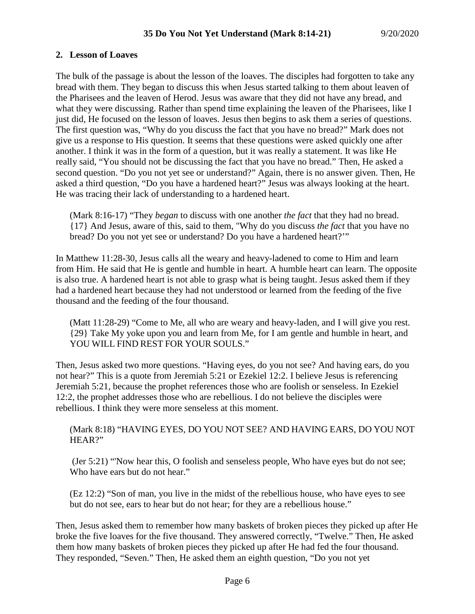## **2. Lesson of Loaves**

The bulk of the passage is about the lesson of the loaves. The disciples had forgotten to take any bread with them. They began to discuss this when Jesus started talking to them about leaven of the Pharisees and the leaven of Herod. Jesus was aware that they did not have any bread, and what they were discussing. Rather than spend time explaining the leaven of the Pharisees, like I just did, He focused on the lesson of loaves. Jesus then begins to ask them a series of questions. The first question was, "Why do you discuss the fact that you have no bread?" Mark does not give us a response to His question. It seems that these questions were asked quickly one after another. I think it was in the form of a question, but it was really a statement. It was like He really said, "You should not be discussing the fact that you have no bread." Then, He asked a second question. "Do you not yet see or understand?" Again, there is no answer given. Then, He asked a third question, "Do you have a hardened heart?" Jesus was always looking at the heart. He was tracing their lack of understanding to a hardened heart.

(Mark 8:16-17) "They *began* to discuss with one another *the fact* that they had no bread. {17} And Jesus, aware of this, said to them, "Why do you discuss *the fact* that you have no bread? Do you not yet see or understand? Do you have a hardened heart?'"

In Matthew 11:28-30, Jesus calls all the weary and heavy-ladened to come to Him and learn from Him. He said that He is gentle and humble in heart. A humble heart can learn. The opposite is also true. A hardened heart is not able to grasp what is being taught. Jesus asked them if they had a hardened heart because they had not understood or learned from the feeding of the five thousand and the feeding of the four thousand.

(Matt 11:28-29) "Come to Me, all who are weary and heavy-laden, and I will give you rest. {29} Take My yoke upon you and learn from Me, for I am gentle and humble in heart, and YOU WILL FIND REST FOR YOUR SOULS."

Then, Jesus asked two more questions. "Having eyes, do you not see? And having ears, do you not hear?" This is a quote from Jeremiah 5:21 or Ezekiel 12:2. I believe Jesus is referencing Jeremiah 5:21, because the prophet references those who are foolish or senseless. In Ezekiel 12:2, the prophet addresses those who are rebellious. I do not believe the disciples were rebellious. I think they were more senseless at this moment.

#### (Mark 8:18) "HAVING EYES, DO YOU NOT SEE? AND HAVING EARS, DO YOU NOT HEAR?"

(Jer 5:21) "'Now hear this, O foolish and senseless people, Who have eyes but do not see; Who have ears but do not hear."

(Ez 12:2) "Son of man, you live in the midst of the rebellious house, who have eyes to see but do not see, ears to hear but do not hear; for they are a rebellious house."

Then, Jesus asked them to remember how many baskets of broken pieces they picked up after He broke the five loaves for the five thousand. They answered correctly, "Twelve." Then, He asked them how many baskets of broken pieces they picked up after He had fed the four thousand. They responded, "Seven." Then, He asked them an eighth question, "Do you not yet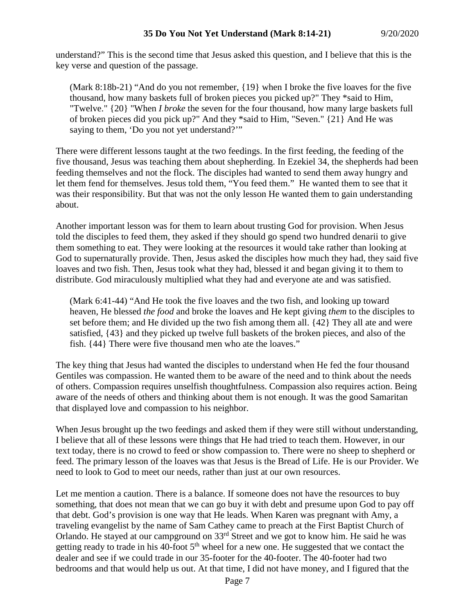understand?" This is the second time that Jesus asked this question, and I believe that this is the key verse and question of the passage.

(Mark 8:18b-21) "And do you not remember, {19} when I broke the five loaves for the five thousand, how many baskets full of broken pieces you picked up?" They \*said to Him, "Twelve." {20} "When *I broke* the seven for the four thousand, how many large baskets full of broken pieces did you pick up?" And they \*said to Him, "Seven." {21} And He was saying to them, 'Do you not yet understand?'"

There were different lessons taught at the two feedings. In the first feeding, the feeding of the five thousand, Jesus was teaching them about shepherding. In Ezekiel 34, the shepherds had been feeding themselves and not the flock. The disciples had wanted to send them away hungry and let them fend for themselves. Jesus told them, "You feed them." He wanted them to see that it was their responsibility. But that was not the only lesson He wanted them to gain understanding about.

Another important lesson was for them to learn about trusting God for provision. When Jesus told the disciples to feed them, they asked if they should go spend two hundred denarii to give them something to eat. They were looking at the resources it would take rather than looking at God to supernaturally provide. Then, Jesus asked the disciples how much they had, they said five loaves and two fish. Then, Jesus took what they had, blessed it and began giving it to them to distribute. God miraculously multiplied what they had and everyone ate and was satisfied.

(Mark 6:41-44) "And He took the five loaves and the two fish, and looking up toward heaven, He blessed *the food* and broke the loaves and He kept giving *them* to the disciples to set before them; and He divided up the two fish among them all. {42} They all ate and were satisfied, {43} and they picked up twelve full baskets of the broken pieces, and also of the fish. {44} There were five thousand men who ate the loaves."

The key thing that Jesus had wanted the disciples to understand when He fed the four thousand Gentiles was compassion. He wanted them to be aware of the need and to think about the needs of others. Compassion requires unselfish thoughtfulness. Compassion also requires action. Being aware of the needs of others and thinking about them is not enough. It was the good Samaritan that displayed love and compassion to his neighbor.

When Jesus brought up the two feedings and asked them if they were still without understanding, I believe that all of these lessons were things that He had tried to teach them. However, in our text today, there is no crowd to feed or show compassion to. There were no sheep to shepherd or feed. The primary lesson of the loaves was that Jesus is the Bread of Life. He is our Provider. We need to look to God to meet our needs, rather than just at our own resources.

Let me mention a caution. There is a balance. If someone does not have the resources to buy something, that does not mean that we can go buy it with debt and presume upon God to pay off that debt. God's provision is one way that He leads. When Karen was pregnant with Amy, a traveling evangelist by the name of Sam Cathey came to preach at the First Baptist Church of Orlando. He stayed at our campground on 33rd Street and we got to know him. He said he was getting ready to trade in his 40-foot  $5<sup>th</sup>$  wheel for a new one. He suggested that we contact the dealer and see if we could trade in our 35-footer for the 40-footer. The 40-footer had two bedrooms and that would help us out. At that time, I did not have money, and I figured that the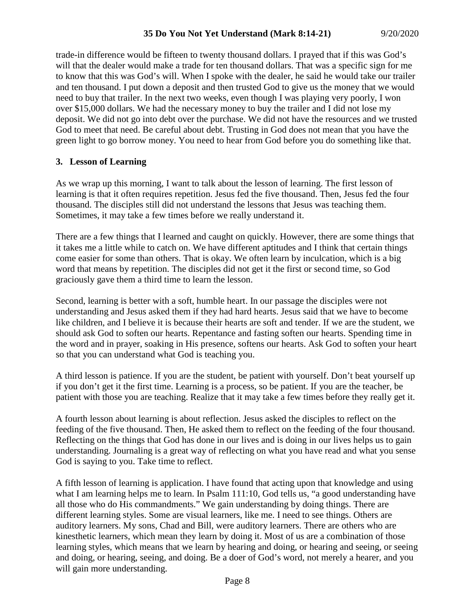trade-in difference would be fifteen to twenty thousand dollars. I prayed that if this was God's will that the dealer would make a trade for ten thousand dollars. That was a specific sign for me to know that this was God's will. When I spoke with the dealer, he said he would take our trailer and ten thousand. I put down a deposit and then trusted God to give us the money that we would need to buy that trailer. In the next two weeks, even though I was playing very poorly, I won over \$15,000 dollars. We had the necessary money to buy the trailer and I did not lose my deposit. We did not go into debt over the purchase. We did not have the resources and we trusted God to meet that need. Be careful about debt. Trusting in God does not mean that you have the green light to go borrow money. You need to hear from God before you do something like that.

## **3. Lesson of Learning**

As we wrap up this morning, I want to talk about the lesson of learning. The first lesson of learning is that it often requires repetition. Jesus fed the five thousand. Then, Jesus fed the four thousand. The disciples still did not understand the lessons that Jesus was teaching them. Sometimes, it may take a few times before we really understand it.

There are a few things that I learned and caught on quickly. However, there are some things that it takes me a little while to catch on. We have different aptitudes and I think that certain things come easier for some than others. That is okay. We often learn by inculcation, which is a big word that means by repetition. The disciples did not get it the first or second time, so God graciously gave them a third time to learn the lesson.

Second, learning is better with a soft, humble heart. In our passage the disciples were not understanding and Jesus asked them if they had hard hearts. Jesus said that we have to become like children, and I believe it is because their hearts are soft and tender. If we are the student, we should ask God to soften our hearts. Repentance and fasting soften our hearts. Spending time in the word and in prayer, soaking in His presence, softens our hearts. Ask God to soften your heart so that you can understand what God is teaching you.

A third lesson is patience. If you are the student, be patient with yourself. Don't beat yourself up if you don't get it the first time. Learning is a process, so be patient. If you are the teacher, be patient with those you are teaching. Realize that it may take a few times before they really get it.

A fourth lesson about learning is about reflection. Jesus asked the disciples to reflect on the feeding of the five thousand. Then, He asked them to reflect on the feeding of the four thousand. Reflecting on the things that God has done in our lives and is doing in our lives helps us to gain understanding. Journaling is a great way of reflecting on what you have read and what you sense God is saying to you. Take time to reflect.

A fifth lesson of learning is application. I have found that acting upon that knowledge and using what I am learning helps me to learn. In Psalm 111:10, God tells us, "a good understanding have all those who do His commandments." We gain understanding by doing things. There are different learning styles. Some are visual learners, like me. I need to see things. Others are auditory learners. My sons, Chad and Bill, were auditory learners. There are others who are kinesthetic learners, which mean they learn by doing it. Most of us are a combination of those learning styles, which means that we learn by hearing and doing, or hearing and seeing, or seeing and doing, or hearing, seeing, and doing. Be a doer of God's word, not merely a hearer, and you will gain more understanding.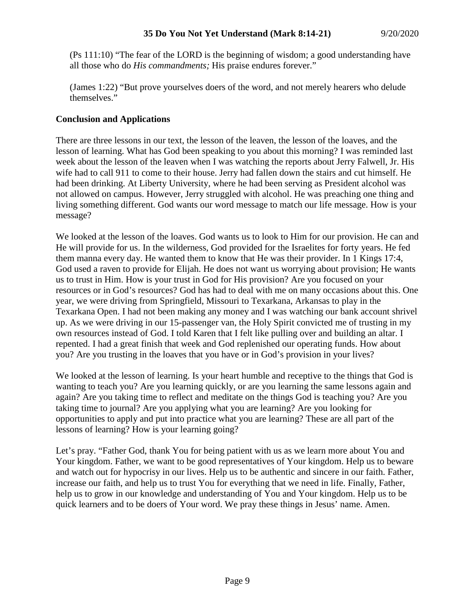(Ps 111:10) "The fear of the LORD is the beginning of wisdom; a good understanding have all those who do *His commandments;* His praise endures forever."

(James 1:22) "But prove yourselves doers of the word, and not merely hearers who delude themselves."

## **Conclusion and Applications**

There are three lessons in our text, the lesson of the leaven, the lesson of the loaves, and the lesson of learning. What has God been speaking to you about this morning? I was reminded last week about the lesson of the leaven when I was watching the reports about Jerry Falwell, Jr. His wife had to call 911 to come to their house. Jerry had fallen down the stairs and cut himself. He had been drinking. At Liberty University, where he had been serving as President alcohol was not allowed on campus. However, Jerry struggled with alcohol. He was preaching one thing and living something different. God wants our word message to match our life message. How is your message?

We looked at the lesson of the loaves. God wants us to look to Him for our provision. He can and He will provide for us. In the wilderness, God provided for the Israelites for forty years. He fed them manna every day. He wanted them to know that He was their provider. In 1 Kings 17:4, God used a raven to provide for Elijah. He does not want us worrying about provision; He wants us to trust in Him. How is your trust in God for His provision? Are you focused on your resources or in God's resources? God has had to deal with me on many occasions about this. One year, we were driving from Springfield, Missouri to Texarkana, Arkansas to play in the Texarkana Open. I had not been making any money and I was watching our bank account shrivel up. As we were driving in our 15-passenger van, the Holy Spirit convicted me of trusting in my own resources instead of God. I told Karen that I felt like pulling over and building an altar. I repented. I had a great finish that week and God replenished our operating funds. How about you? Are you trusting in the loaves that you have or in God's provision in your lives?

We looked at the lesson of learning. Is your heart humble and receptive to the things that God is wanting to teach you? Are you learning quickly, or are you learning the same lessons again and again? Are you taking time to reflect and meditate on the things God is teaching you? Are you taking time to journal? Are you applying what you are learning? Are you looking for opportunities to apply and put into practice what you are learning? These are all part of the lessons of learning? How is your learning going?

Let's pray. "Father God, thank You for being patient with us as we learn more about You and Your kingdom. Father, we want to be good representatives of Your kingdom. Help us to beware and watch out for hypocrisy in our lives. Help us to be authentic and sincere in our faith. Father, increase our faith, and help us to trust You for everything that we need in life. Finally, Father, help us to grow in our knowledge and understanding of You and Your kingdom. Help us to be quick learners and to be doers of Your word. We pray these things in Jesus' name. Amen.